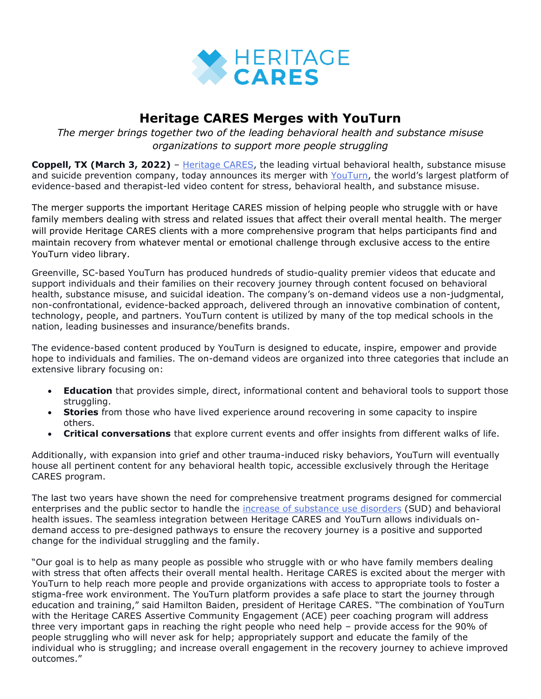

## **Heritage CARES Merges with YouTurn**

*The merger brings together two of the leading behavioral health and substance misuse organizations to support more people struggling*

**Coppell, TX (March 3, 2022)** – [Heritage CARES,](https://heritagehealthsolutions.com/heritage-cares/%20?utm_source=heritage+cares+press+release&utm_medium=accesswire.com&utm_campaign=february+2022+heritage+cares+and+youturn+acquisition&utm_content=heritage+cares+hyperlink+1) the leading virtual behavioral health, substance misuse and suicide prevention company, today announces its merger with [YouTurn,](https://youturn.net/company/about-us/) the world's largest platform of evidence-based and therapist-led video content for stress, behavioral health, and substance misuse.

The merger supports the important Heritage CARES mission of helping people who struggle with or have family members dealing with stress and related issues that affect their overall mental health. The merger will provide Heritage CARES clients with a more comprehensive program that helps participants find and maintain recovery from whatever mental or emotional challenge through exclusive access to the entire YouTurn video library.

Greenville, SC-based YouTurn has produced hundreds of studio-quality premier videos that educate and support individuals and their families on their recovery journey through content focused on behavioral health, substance misuse, and suicidal ideation. The company's on-demand videos use a non-judgmental, non-confrontational, evidence-backed approach, delivered through an innovative combination of content, technology, people, and partners. YouTurn content is utilized by many of the top medical schools in the nation, leading businesses and insurance/benefits brands.

The evidence-based content produced by YouTurn is designed to educate, inspire, empower and provide hope to individuals and families. The on-demand videos are organized into three categories that include an extensive library focusing on:

- **Education** that provides simple, direct, informational content and behavioral tools to support those struggling.
- **Stories** from those who have lived experience around recovering in some capacity to inspire others.
- **Critical conversations** that explore current events and offer insights from different walks of life.

Additionally, with expansion into grief and other trauma-induced risky behaviors, YouTurn will eventually house all pertinent content for any behavioral health topic, accessible exclusively through the Heritage CARES program.

The last two years have shown the need for comprehensive treatment programs designed for commercial enterprises and the public sector to handle the [increase of substance use disorders](https://www.samhsa.gov/newsroom/press-announcements/202110260320) (SUD) and behavioral health issues. The seamless integration between Heritage CARES and YouTurn allows individuals ondemand access to pre-designed pathways to ensure the recovery journey is a positive and supported change for the individual struggling and the family.

"Our goal is to help as many people as possible who struggle with or who have family members dealing with stress that often affects their overall mental health. Heritage CARES is excited about the merger with YouTurn to help reach more people and provide organizations with access to appropriate tools to foster a stigma-free work environment. The YouTurn platform provides a safe place to start the journey through education and training," said Hamilton Baiden, president of Heritage CARES. "The combination of YouTurn with the Heritage CARES Assertive Community Engagement (ACE) peer coaching program will address three very important gaps in reaching the right people who need help – provide access for the 90% of people struggling who will never ask for help; appropriately support and educate the family of the individual who is struggling; and increase overall engagement in the recovery journey to achieve improved outcomes."